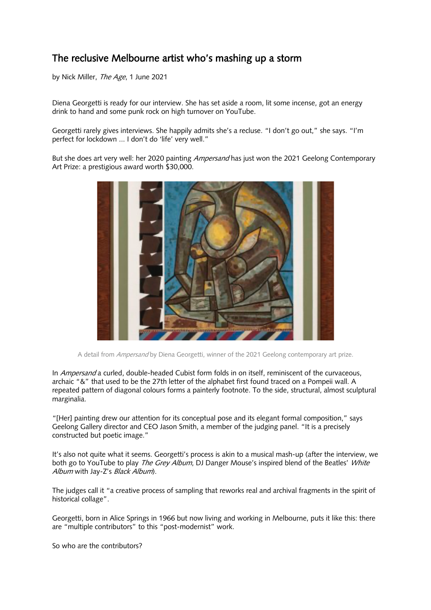## The reclusive Melbourne artist who's mashing up a storm

by Nick Miller, The Age, 1 June 2021

Diena Georgetti is ready for our interview. She has set aside a room, lit some incense, got an energy drink to hand and some punk rock on high turnover on YouTube.

Georgetti rarely gives interviews. She happily admits she's a recluse. "I don't go out," she says. "I'm perfect for lockdown ... I don't do 'life' very well."

But she does art very well: her 2020 painting *Ampersand* has just won the 2021 Geelong Contemporary Art Prize: a prestigious award worth \$30,000.



A detail from *Ampersand* by Diena Georgetti, winner of the 2021 Geelong contemporary art prize.

In Ampersand a curled, double-headed Cubist form folds in on itself, reminiscent of the curvaceous, archaic "&" that used to be the 27th letter of the alphabet first found traced on a Pompeii wall. A repeated pattern of diagonal colours forms a painterly footnote. To the side, structural, almost sculptural marginalia.

"[Her] painting drew our attention for its conceptual pose and its elegant formal composition," says Geelong Gallery director and CEO Jason Smith, a member of the judging panel. "It is a precisely constructed but poetic image."

It's also not quite what it seems. Georgetti's process is akin to a musical mash-up (after the interview, we both go to YouTube to play The Grey Album, DJ Danger Mouse's inspired blend of the Beatles' White Album with Jay-Z's Black Album).

The judges call it "a creative process of sampling that reworks real and archival fragments in the spirit of historical collage".

Georgetti, born in Alice Springs in 1966 but now living and working in Melbourne, puts it like this: there are "multiple contributors" to this "post-modernist" work.

So who are the contributors?